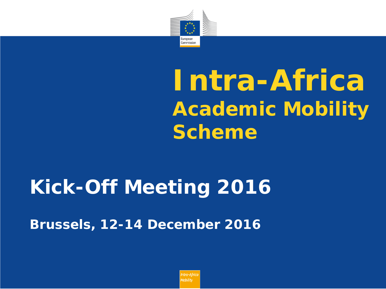

# **Intra-Africa Academic Mobility Scheme**

## **Kick-Off Meeting 2016**

*Brussels, 12-14 December 2016*

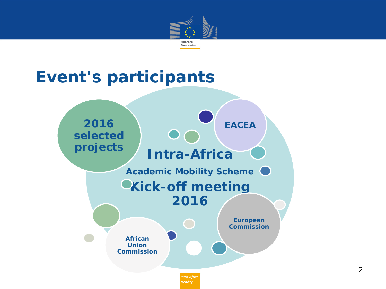

## **Event's participants**

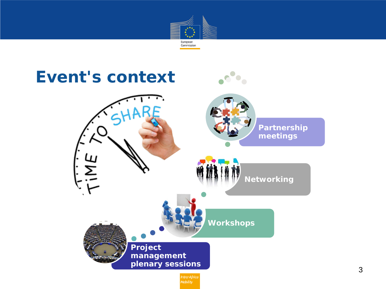

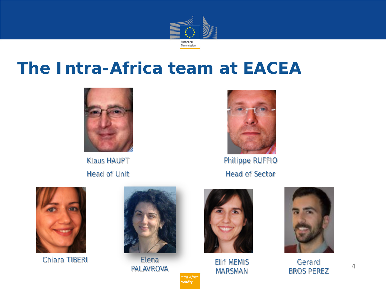

## **The Intra-Africa team at EACEA**



Klaus HAUPT Head of Unit



Philippe RUFFIO Head of Sector



Chiara TIBERI



Elena PALAVROVA

> Intra-Africa Mobility



Elif MEMIS MARSMAN



Gerard BROS PEREZ

4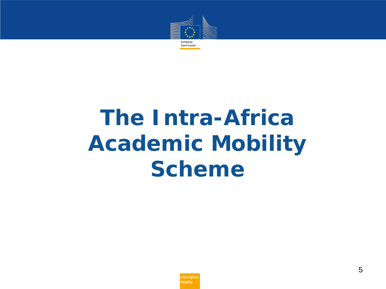

# **The Intra-Africa Academic Mobility Scheme**

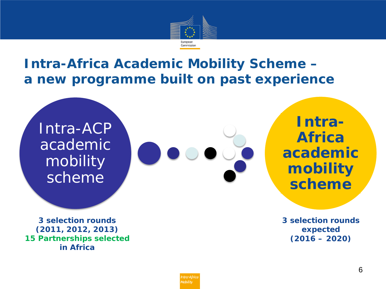

#### **Intra-Africa Academic Mobility Scheme – a new programme built on past experience**

Intra-ACP academic mobility scheme



**Intra-Africa academic mobility scheme**

**3 selection rounds (2011, 2012, 2013) 15 Partnerships selected in Africa**

**3 selection rounds expected (2016 – 2020)**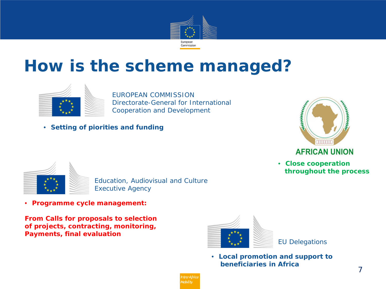

## **How is the scheme managed?**



EUROPEAN COMMISSION Directorate-General for International Cooperation and Development

• *Setting of piorities and funding*



 *throughout the process*

• *Close cooperation* 



Education, Audiovisual and Culture Executive Agency

• *Programme cycle management:* 

*From Calls for proposals to selection of projects, contracting, monitoring, Payments, final evaluation*



EU Delegations

• *Local promotion and support to beneficiaries in Africa*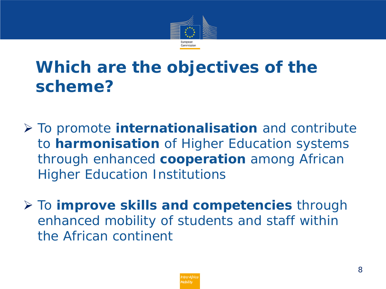

## **Which are the objectives of the scheme?**

- To promote **internationalisation** and contribute to **harmonisation** of Higher Education systems through enhanced **cooperation** among African Higher Education Institutions
- To **improve skills and competencies** through enhanced mobility of students and staff within the African continent

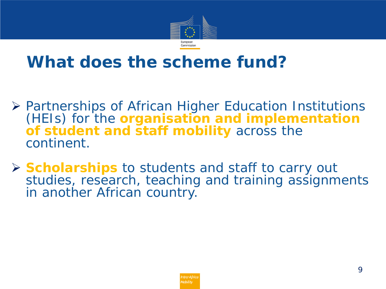

## **What does the scheme fund?**

- Partnerships of African Higher Education Institutions (HEIs) for the **organisation and implementation of student and staff mobility** across the continent.
- **Scholarships** to students and staff to carry out studies, research, teaching and training assignments in another African country.

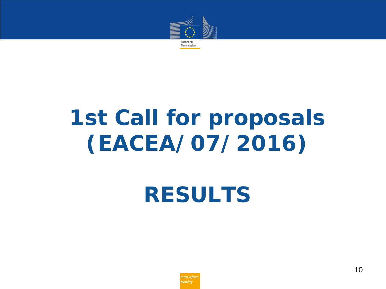

# **1st Call for proposals (EACEA/07/2016)**

*RESULTS*

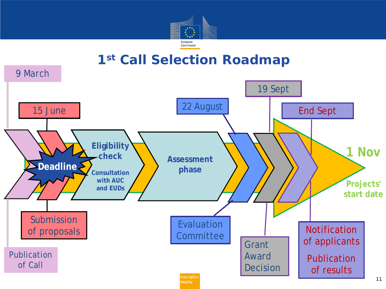

#### **1st Call Selection Roadmap**

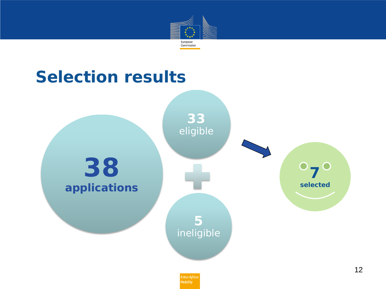

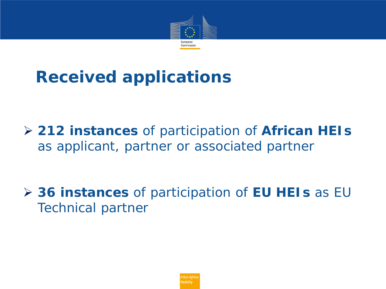

## **Received applications**

 **212 instances** of participation of **African HEIs**  as applicant, partner or associated partner

 **36 instances** of participation of **EU HEIs** as EU Technical partner

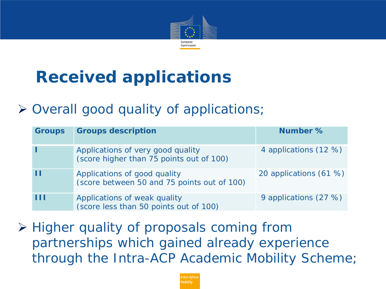

## **Received applications**

#### $\triangleright$  Overall good quality of applications;

| <b>Groups</b> | <b>Groups description</b>                                                     | Number %               |
|---------------|-------------------------------------------------------------------------------|------------------------|
|               | Applications of very good quality<br>(score higher than 75 points out of 100) | 4 applications (12 %)  |
| T             | Applications of good quality<br>(score between 50 and 75 points out of 100)   | 20 applications (61 %) |
| ш             | Applications of weak quality<br>(score less than 50 points out of 100)        | 9 applications (27 %)  |

**≻ Higher quality of proposals coming from** partnerships which gained already experience through the Intra-ACP Academic Mobility Scheme;

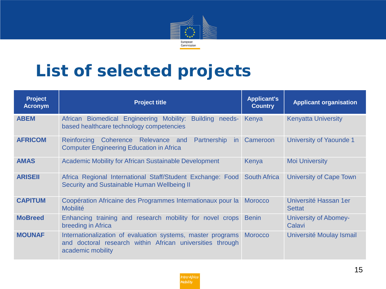

## **List of selected projects**

| <b>Project</b><br><b>Acronym</b> | <b>Project title</b>                                                                                                                          | <b>Applicant's</b><br><b>Country</b> | <b>Applicant organisation</b>          |
|----------------------------------|-----------------------------------------------------------------------------------------------------------------------------------------------|--------------------------------------|----------------------------------------|
| <b>ABEM</b>                      | African Biomedical Engineering Mobility: Building needs-<br>based healthcare technology competencies                                          | Kenya                                | <b>Kenyatta University</b>             |
| <b>AFRICOM</b>                   | Coherence Relevance and Partnership<br><b>Reinforcing</b><br>in.<br><b>Computer Engineering Education in Africa</b>                           | Cameroon                             | University of Yaounde 1                |
| <b>AMAS</b>                      | <b>Academic Mobility for African Sustainable Development</b>                                                                                  | Kenya                                | <b>Moi University</b>                  |
| <b>ARISEII</b>                   | Africa Regional International Staff/Student Exchange: Food<br>Security and Sustainable Human Wellbeing II                                     | <b>South Africa</b>                  | <b>University of Cape Town</b>         |
| <b>CAPITUM</b>                   | Coopération Africaine des Programmes Internationaux pour la<br><b>Mobilité</b>                                                                | <b>Morocco</b>                       | Université Hassan 1er<br><b>Settat</b> |
| <b>MoBreed</b>                   | Enhancing training and research mobility for novel crops<br>breeding in Africa                                                                | <b>Benin</b>                         | <b>University of Abomey-</b><br>Calavi |
| <b>MOUNAF</b>                    | Internationalization of evaluation systems, master programs<br>and doctoral research within African universities through<br>academic mobility | <b>Morocco</b>                       | Université Moulay Ismail               |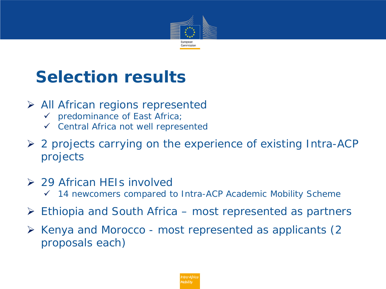

## **Selection results**

- $\triangleright$  All African regions represented
	- predominance of East Africa;
	- $\checkmark$  Central Africa not well represented
- 2 projects carrying on the experience of existing Intra-ACP projects
- **29 African HEIs involved** 
	- 14 newcomers compared to Intra-ACP Academic Mobility Scheme
- Ethiopia and South Africa most represented as partners
- $\triangleright$  Kenya and Morocco most represented as applicants (2) proposals each)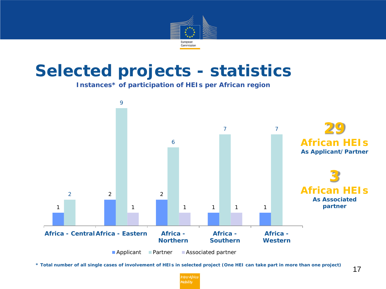

**Instances\* of participation of HEIs per African region**



*\* Total number of all single cases of involvement of HEIs in selected project (One HEI can take part in more than one project)*

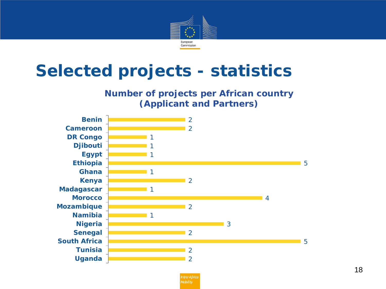

#### **Number of projects per African country (Applicant and Partners)**



Intra-Africo Mobility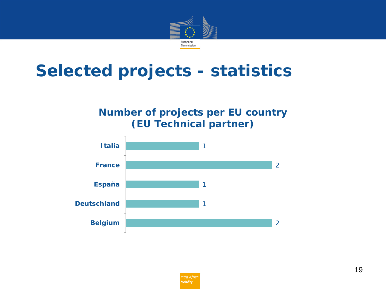

#### **Number of projects per EU country (EU Technical partner)**

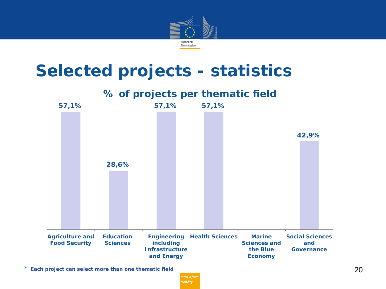



*\* Each project can select more than one thematic field*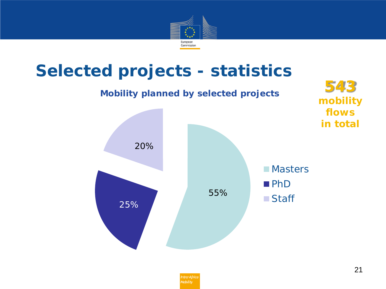